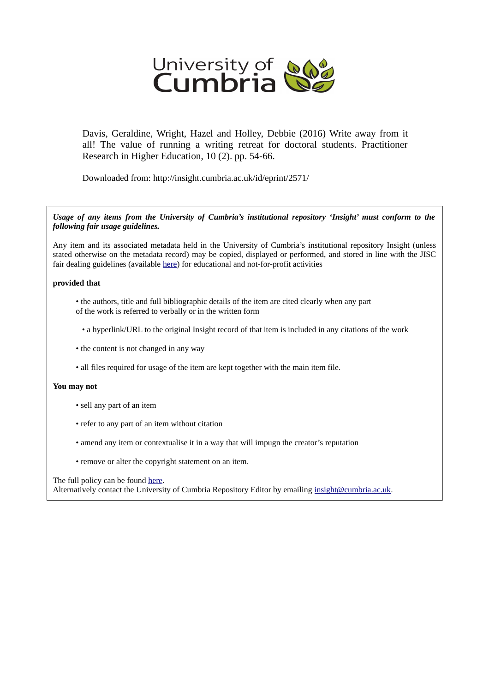

Davis, Geraldine, Wright, Hazel and Holley, Debbie (2016) Write away from it all! The value of running a writing retreat for doctoral students. Practitioner Research in Higher Education, 10 (2). pp. 54-66.

Downloaded from: http://insight.cumbria.ac.uk/id/eprint/2571/

*Usage of any items from the University of Cumbria's institutional repository 'Insight' must conform to the following fair usage guidelines.*

Any item and its associated metadata held in the University of Cumbria's institutional repository Insight (unless stated otherwise on the metadata record) may be copied, displayed or performed, and stored in line with the JISC fair dealing guidelines (available [here\)](http://www.ukoln.ac.uk/services/elib/papers/pa/fair/) for educational and not-for-profit activities

#### **provided that**

- the authors, title and full bibliographic details of the item are cited clearly when any part of the work is referred to verbally or in the written form
	- a hyperlink/URL to the original Insight record of that item is included in any citations of the work
- the content is not changed in any way
- all files required for usage of the item are kept together with the main item file.

#### **You may not**

- sell any part of an item
- refer to any part of an item without citation
- amend any item or contextualise it in a way that will impugn the creator's reputation
- remove or alter the copyright statement on an item.

#### The full policy can be found [here.](http://insight.cumbria.ac.uk/legal.html#section5)

Alternatively contact the University of Cumbria Repository Editor by emailing [insight@cumbria.ac.uk.](mailto:insight@cumbria.ac.uk)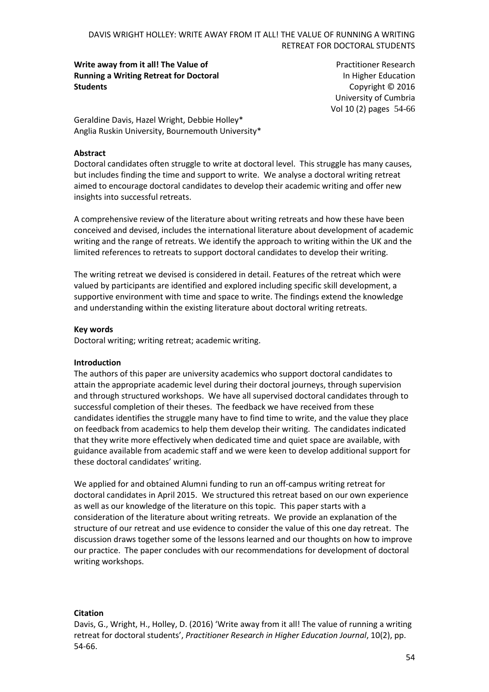**Write away from it all! The Value of Running a Writing Retreat for Doctoral Students**

Practitioner Research In Higher Education Copyright © 2016 University of Cumbria Vol 10 (2) pages 54-66

Geraldine Davis, Hazel Wright, Debbie Holley\* Anglia Ruskin University, Bournemouth University\*

#### **Abstract**

Doctoral candidates often struggle to write at doctoral level. This struggle has many causes, but includes finding the time and support to write. We analyse a doctoral writing retreat aimed to encourage doctoral candidates to develop their academic writing and offer new insights into successful retreats.

A comprehensive review of the literature about writing retreats and how these have been conceived and devised, includes the international literature about development of academic writing and the range of retreats. We identify the approach to writing within the UK and the limited references to retreats to support doctoral candidates to develop their writing.

The writing retreat we devised is considered in detail. Features of the retreat which were valued by participants are identified and explored including specific skill development, a supportive environment with time and space to write. The findings extend the knowledge and understanding within the existing literature about doctoral writing retreats.

#### **Key words**

Doctoral writing; writing retreat; academic writing.

#### **Introduction**

The authors of this paper are university academics who support doctoral candidates to attain the appropriate academic level during their doctoral journeys, through supervision and through structured workshops. We have all supervised doctoral candidates through to successful completion of their theses. The feedback we have received from these candidates identifies the struggle many have to find time to write, and the value they place on feedback from academics to help them develop their writing. The candidates indicated that they write more effectively when dedicated time and quiet space are available, with guidance available from academic staff and we were keen to develop additional support for these doctoral candidates' writing.

We applied for and obtained Alumni funding to run an off-campus writing retreat for doctoral candidates in April 2015. We structured this retreat based on our own experience as well as our knowledge of the literature on this topic. This paper starts with a consideration of the literature about writing retreats. We provide an explanation of the structure of our retreat and use evidence to consider the value of this one day retreat. The discussion draws together some of the lessons learned and our thoughts on how to improve our practice. The paper concludes with our recommendations for development of doctoral writing workshops.

#### **Citation**

Davis, G., Wright, H., Holley, D. (2016) 'Write away from it all! The value of running a writing retreat for doctoral students', *Practitioner Research in Higher Education Journal*, 10(2), pp. 54-66.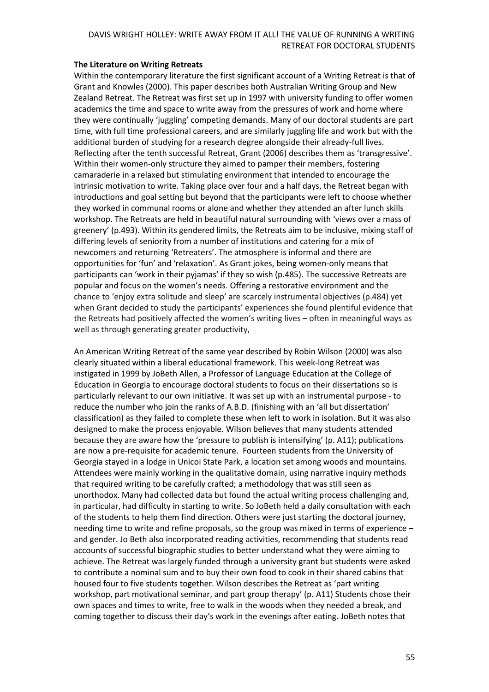#### **The Literature on Writing Retreats**

Within the contemporary literature the first significant account of a Writing Retreat is that of Grant and Knowles (2000). This paper describes both Australian Writing Group and New Zealand Retreat. The Retreat was first set up in 1997 with university funding to offer women academics the time and space to write away from the pressures of work and home where they were continually 'juggling' competing demands. Many of our doctoral students are part time, with full time professional careers, and are similarly juggling life and work but with the additional burden of studying for a research degree alongside their already-full lives. Reflecting after the tenth successful Retreat, Grant (2006) describes them as 'transgressive'. Within their women-only structure they aimed to pamper their members, fostering camaraderie in a relaxed but stimulating environment that intended to encourage the intrinsic motivation to write. Taking place over four and a half days, the Retreat began with introductions and goal setting but beyond that the participants were left to choose whether they worked in communal rooms or alone and whether they attended an after lunch skills workshop. The Retreats are held in beautiful natural surrounding with 'views over a mass of greenery' (p.493). Within its gendered limits, the Retreats aim to be inclusive, mixing staff of differing levels of seniority from a number of institutions and catering for a mix of newcomers and returning 'Retreaters'. The atmosphere is informal and there are opportunities for 'fun' and 'relaxation'. As Grant jokes, being women-only means that participants can 'work in their pyjamas' if they so wish (p.485). The successive Retreats are popular and focus on the women's needs. Offering a restorative environment and the chance to 'enjoy extra solitude and sleep' are scarcely instrumental objectives (p.484) yet when Grant decided to study the participants' experiences she found plentiful evidence that the Retreats had positively affected the women's writing lives – often in meaningful ways as well as through generating greater productivity,

An American Writing Retreat of the same year described by Robin Wilson (2000) was also clearly situated within a liberal educational framework. This week-long Retreat was instigated in 1999 by JoBeth Allen, a Professor of Language Education at the College of Education in Georgia to encourage doctoral students to focus on their dissertations so is particularly relevant to our own initiative. It was set up with an instrumental purpose - to reduce the number who join the ranks of A.B.D. (finishing with an 'all but dissertation' classification) as they failed to complete these when left to work in isolation. But it was also designed to make the process enjoyable. Wilson believes that many students attended because they are aware how the 'pressure to publish is intensifying' (p. A11); publications are now a pre-requisite for academic tenure. Fourteen students from the University of Georgia stayed in a lodge in Unicoi State Park, a location set among woods and mountains. Attendees were mainly working in the qualitative domain, using narrative inquiry methods that required writing to be carefully crafted; a methodology that was still seen as unorthodox. Many had collected data but found the actual writing process challenging and, in particular, had difficulty in starting to write. So JoBeth held a daily consultation with each of the students to help them find direction. Others were just starting the doctoral journey, needing time to write and refine proposals, so the group was mixed in terms of experience – and gender. Jo Beth also incorporated reading activities, recommending that students read accounts of successful biographic studies to better understand what they were aiming to achieve. The Retreat was largely funded through a university grant but students were asked to contribute a nominal sum and to buy their own food to cook in their shared cabins that housed four to five students together. Wilson describes the Retreat as 'part writing workshop, part motivational seminar, and part group therapy' (p. A11) Students chose their own spaces and times to write, free to walk in the woods when they needed a break, and coming together to discuss their day's work in the evenings after eating. JoBeth notes that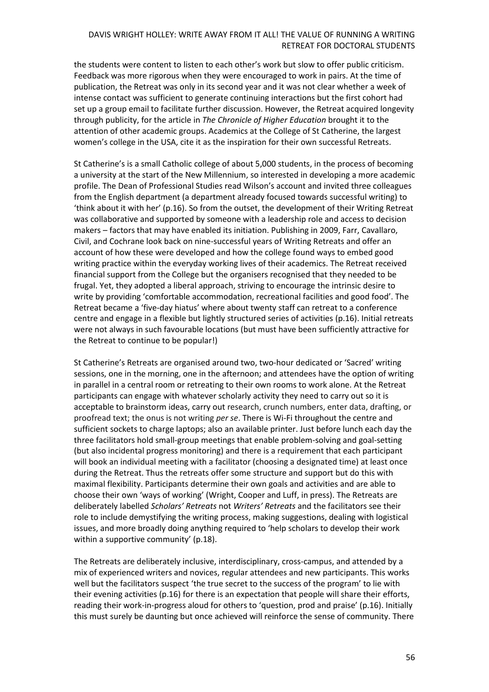the students were content to listen to each other's work but slow to offer public criticism. Feedback was more rigorous when they were encouraged to work in pairs. At the time of publication, the Retreat was only in its second year and it was not clear whether a week of intense contact was sufficient to generate continuing interactions but the first cohort had set up a group email to facilitate further discussion. However, the Retreat acquired longevity through publicity, for the article in *The Chronicle of Higher Education* brought it to the attention of other academic groups. Academics at the College of St Catherine, the largest women's college in the USA, cite it as the inspiration for their own successful Retreats.

St Catherine's is a small Catholic college of about 5,000 students, in the process of becoming a university at the start of the New Millennium, so interested in developing a more academic profile. The Dean of Professional Studies read Wilson's account and invited three colleagues from the English department (a department already focused towards successful writing) to 'think about it with her' (p.16). So from the outset, the development of their Writing Retreat was collaborative and supported by someone with a leadership role and access to decision makers – factors that may have enabled its initiation. Publishing in 2009, Farr, Cavallaro, Civil, and Cochrane look back on nine-successful years of Writing Retreats and offer an account of how these were developed and how the college found ways to embed good writing practice within the everyday working lives of their academics. The Retreat received financial support from the College but the organisers recognised that they needed to be frugal. Yet, they adopted a liberal approach, striving to encourage the intrinsic desire to write by providing 'comfortable accommodation, recreational facilities and good food'. The Retreat became a 'five-day hiatus' where about twenty staff can retreat to a conference centre and engage in a flexible but lightly structured series of activities (p.16). Initial retreats were not always in such favourable locations (but must have been sufficiently attractive for the Retreat to continue to be popular!)

St Catherine's Retreats are organised around two, two-hour dedicated or 'Sacred' writing sessions, one in the morning, one in the afternoon; and attendees have the option of writing in parallel in a central room or retreating to their own rooms to work alone. At the Retreat participants can engage with whatever scholarly activity they need to carry out so it is acceptable to brainstorm ideas, carry out research, crunch numbers, enter data, drafting, or proofread text; the onus is not writing *per se*. There is Wi-Fi throughout the centre and sufficient sockets to charge laptops; also an available printer. Just before lunch each day the three facilitators hold small-group meetings that enable problem-solving and goal-setting (but also incidental progress monitoring) and there is a requirement that each participant will book an individual meeting with a facilitator (choosing a designated time) at least once during the Retreat. Thus the retreats offer some structure and support but do this with maximal flexibility. Participants determine their own goals and activities and are able to choose their own 'ways of working' (Wright, Cooper and Luff, in press). The Retreats are deliberately labelled *Scholars' Retreats* not *Writers' Retreats* and the facilitators see their role to include demystifying the writing process, making suggestions, dealing with logistical issues, and more broadly doing anything required to 'help scholars to develop their work within a supportive community' (p.18).

The Retreats are deliberately inclusive, interdisciplinary, cross-campus, and attended by a mix of experienced writers and novices, regular attendees and new participants. This works well but the facilitators suspect 'the true secret to the success of the program' to lie with their evening activities (p.16) for there is an expectation that people will share their efforts, reading their work-in-progress aloud for others to 'question, prod and praise' (p.16). Initially this must surely be daunting but once achieved will reinforce the sense of community. There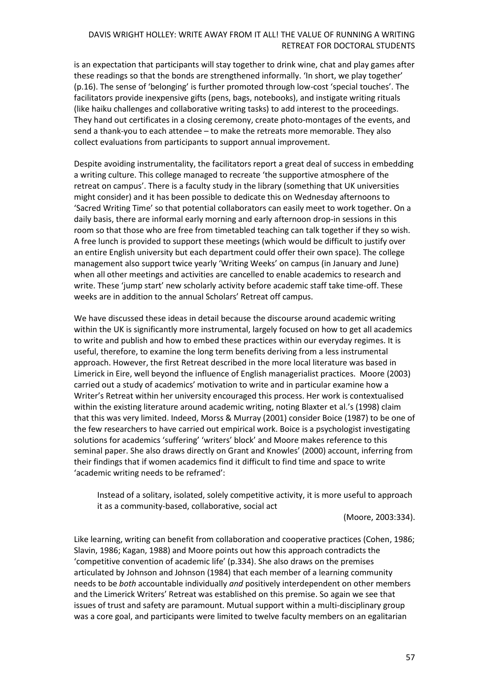is an expectation that participants will stay together to drink wine, chat and play games after these readings so that the bonds are strengthened informally. 'In short, we play together' (p.16). The sense of 'belonging' is further promoted through low-cost 'special touches'. The facilitators provide inexpensive gifts (pens, bags, notebooks), and instigate writing rituals (like haiku challenges and collaborative writing tasks) to add interest to the proceedings. They hand out certificates in a closing ceremony, create photo-montages of the events, and send a thank-you to each attendee – to make the retreats more memorable. They also collect evaluations from participants to support annual improvement.

Despite avoiding instrumentality, the facilitators report a great deal of success in embedding a writing culture. This college managed to recreate 'the supportive atmosphere of the retreat on campus'. There is a faculty study in the library (something that UK universities might consider) and it has been possible to dedicate this on Wednesday afternoons to 'Sacred Writing Time' so that potential collaborators can easily meet to work together. On a daily basis, there are informal early morning and early afternoon drop-in sessions in this room so that those who are free from timetabled teaching can talk together if they so wish. A free lunch is provided to support these meetings (which would be difficult to justify over an entire English university but each department could offer their own space). The college management also support twice yearly 'Writing Weeks' on campus (in January and June) when all other meetings and activities are cancelled to enable academics to research and write. These 'jump start' new scholarly activity before academic staff take time-off. These weeks are in addition to the annual Scholars' Retreat off campus.

We have discussed these ideas in detail because the discourse around academic writing within the UK is significantly more instrumental, largely focused on how to get all academics to write and publish and how to embed these practices within our everyday regimes. It is useful, therefore, to examine the long term benefits deriving from a less instrumental approach. However, the first Retreat described in the more local literature was based in Limerick in Eire, well beyond the influence of English managerialist practices. Moore (2003) carried out a study of academics' motivation to write and in particular examine how a Writer's Retreat within her university encouraged this process. Her work is contextualised within the existing literature around academic writing, noting Blaxter et al.'s (1998) claim that this was very limited. Indeed, Morss & Murray (2001) consider Boice (1987) to be one of the few researchers to have carried out empirical work. Boice is a psychologist investigating solutions for academics 'suffering' 'writers' block' and Moore makes reference to this seminal paper. She also draws directly on Grant and Knowles' (2000) account, inferring from their findings that if women academics find it difficult to find time and space to write 'academic writing needs to be reframed':

Instead of a solitary, isolated, solely competitive activity, it is more useful to approach it as a community-based, collaborative, social act

(Moore, 2003:334).

Like learning, writing can benefit from collaboration and cooperative practices (Cohen, 1986; Slavin, 1986; Kagan, 1988) and Moore points out how this approach contradicts the 'competitive convention of academic life' (p.334). She also draws on the premises articulated by Johnson and Johnson (1984) that each member of a learning community needs to be *both* accountable individually *and* positively interdependent on other members and the Limerick Writers' Retreat was established on this premise. So again we see that issues of trust and safety are paramount. Mutual support within a multi-disciplinary group was a core goal, and participants were limited to twelve faculty members on an egalitarian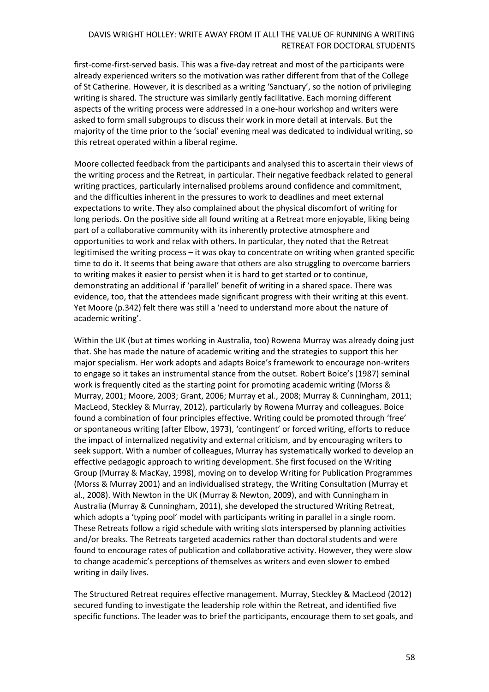first-come-first-served basis. This was a five-day retreat and most of the participants were already experienced writers so the motivation was rather different from that of the College of St Catherine. However, it is described as a writing 'Sanctuary', so the notion of privileging writing is shared. The structure was similarly gently facilitative. Each morning different aspects of the writing process were addressed in a one-hour workshop and writers were asked to form small subgroups to discuss their work in more detail at intervals. But the majority of the time prior to the 'social' evening meal was dedicated to individual writing, so this retreat operated within a liberal regime.

Moore collected feedback from the participants and analysed this to ascertain their views of the writing process and the Retreat, in particular. Their negative feedback related to general writing practices, particularly internalised problems around confidence and commitment, and the difficulties inherent in the pressures to work to deadlines and meet external expectations to write. They also complained about the physical discomfort of writing for long periods. On the positive side all found writing at a Retreat more enjoyable, liking being part of a collaborative community with its inherently protective atmosphere and opportunities to work and relax with others. In particular, they noted that the Retreat legitimised the writing process – it was okay to concentrate on writing when granted specific time to do it. It seems that being aware that others are also struggling to overcome barriers to writing makes it easier to persist when it is hard to get started or to continue, demonstrating an additional if 'parallel' benefit of writing in a shared space. There was evidence, too, that the attendees made significant progress with their writing at this event. Yet Moore (p.342) felt there was still a 'need to understand more about the nature of academic writing'.

Within the UK (but at times working in Australia, too) Rowena Murray was already doing just that. She has made the nature of academic writing and the strategies to support this her major specialism. Her work adopts and adapts Boice's framework to encourage non-writers to engage so it takes an instrumental stance from the outset. Robert Boice's (1987) seminal work is frequently cited as the starting point for promoting academic writing (Morss & Murray, 2001; Moore, 2003; Grant, 2006; Murray et al., 2008; Murray & Cunningham, 2011; MacLeod, Steckley & Murray, 2012), particularly by Rowena Murray and colleagues. Boice found a combination of four principles effective. Writing could be promoted through 'free' or spontaneous writing (after Elbow, 1973), 'contingent' or forced writing, efforts to reduce the impact of internalized negativity and external criticism, and by encouraging writers to seek support. With a number of colleagues, Murray has systematically worked to develop an effective pedagogic approach to writing development. She first focused on the Writing Group (Murray & MacKay, 1998), moving on to develop Writing for Publication Programmes (Morss & Murray 2001) and an individualised strategy, the Writing Consultation (Murray et al., 2008). With Newton in the UK (Murray & Newton, 2009), and with Cunningham in Australia (Murray & Cunningham, 2011), she developed the structured Writing Retreat, which adopts a 'typing pool' model with participants writing in parallel in a single room. These Retreats follow a rigid schedule with writing slots interspersed by planning activities and/or breaks. The Retreats targeted academics rather than doctoral students and were found to encourage rates of publication and collaborative activity. However, they were slow to change academic's perceptions of themselves as writers and even slower to embed writing in daily lives.

The Structured Retreat requires effective management. Murray, Steckley & MacLeod (2012) secured funding to investigate the leadership role within the Retreat, and identified five specific functions. The leader was to brief the participants, encourage them to set goals, and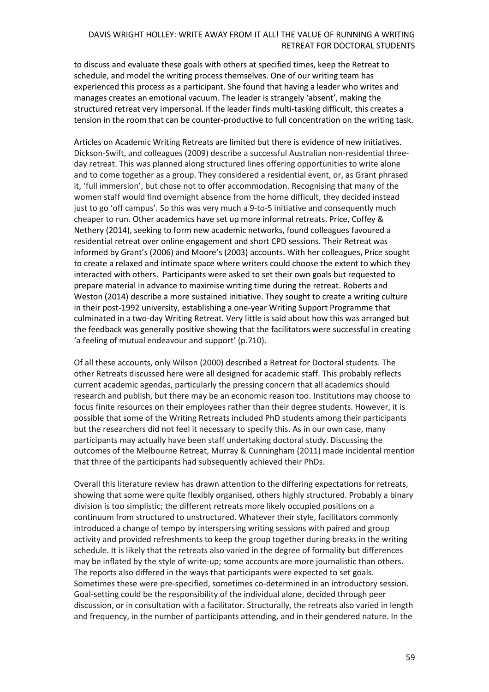to discuss and evaluate these goals with others at specified times, keep the Retreat to schedule, and model the writing process themselves. One of our writing team has experienced this process as a participant. She found that having a leader who writes and manages creates an emotional vacuum. The leader is strangely 'absent', making the structured retreat very impersonal. If the leader finds multi-tasking difficult, this creates a tension in the room that can be counter-productive to full concentration on the writing task.

Articles on Academic Writing Retreats are limited but there is evidence of new initiatives. Dickson-Swift, and colleagues (2009) describe a successful Australian non-residential threeday retreat. This was planned along structured lines offering opportunities to write alone and to come together as a group. They considered a residential event, or, as Grant phrased it, 'full immersion', but chose not to offer accommodation. Recognising that many of the women staff would find overnight absence from the home difficult, they decided instead just to go 'off campus'. So this was very much a 9-to-5 initiative and consequently much cheaper to run. Other academics have set up more informal retreats. Price, Coffey & Nethery (2014), seeking to form new academic networks, found colleagues favoured a residential retreat over online engagement and short CPD sessions. Their Retreat was informed by Grant's (2006) and Moore's (2003) accounts. With her colleagues, Price sought to create a relaxed and intimate space where writers could choose the extent to which they interacted with others. Participants were asked to set their own goals but requested to prepare material in advance to maximise writing time during the retreat. Roberts and Weston (2014) describe a more sustained initiative. They sought to create a writing culture in their post-1992 university, establishing a one-year Writing Support Programme that culminated in a two-day Writing Retreat. Very little is said about how this was arranged but the feedback was generally positive showing that the facilitators were successful in creating 'a feeling of mutual endeavour and support' (p.710).

Of all these accounts, only Wilson (2000) described a Retreat for Doctoral students. The other Retreats discussed here were all designed for academic staff. This probably reflects current academic agendas, particularly the pressing concern that all academics should research and publish, but there may be an economic reason too. Institutions may choose to focus finite resources on their employees rather than their degree students. However, it is possible that some of the Writing Retreats included PhD students among their participants but the researchers did not feel it necessary to specify this. As in our own case, many participants may actually have been staff undertaking doctoral study. Discussing the outcomes of the Melbourne Retreat, Murray & Cunningham (2011) made incidental mention that three of the participants had subsequently achieved their PhDs.

Overall this literature review has drawn attention to the differing expectations for retreats, showing that some were quite flexibly organised, others highly structured. Probably a binary division is too simplistic; the different retreats more likely occupied positions on a continuum from structured to unstructured. Whatever their style, facilitators commonly introduced a change of tempo by interspersing writing sessions with paired and group activity and provided refreshments to keep the group together during breaks in the writing schedule. It is likely that the retreats also varied in the degree of formality but differences may be inflated by the style of write-up; some accounts are more journalistic than others. The reports also differed in the ways that participants were expected to set goals. Sometimes these were pre-specified, sometimes co-determined in an introductory session. Goal-setting could be the responsibility of the individual alone, decided through peer discussion, or in consultation with a facilitator. Structurally, the retreats also varied in length and frequency, in the number of participants attending, and in their gendered nature. In the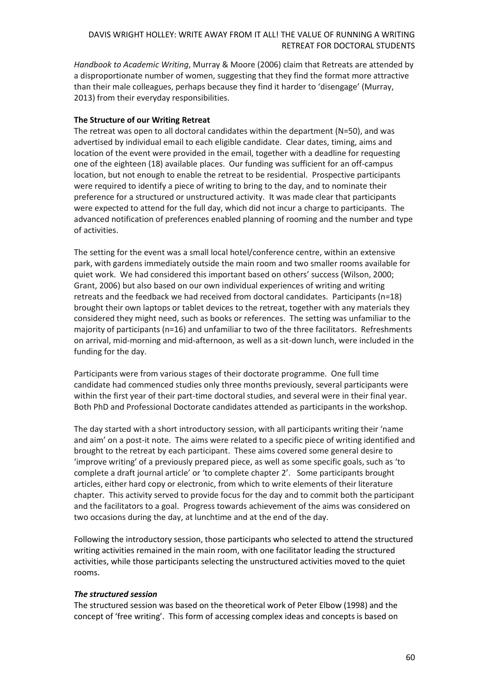*Handbook to Academic Writing*, Murray & Moore (2006) claim that Retreats are attended by a disproportionate number of women, suggesting that they find the format more attractive than their male colleagues, perhaps because they find it harder to 'disengage' (Murray, 2013) from their everyday responsibilities.

#### **The Structure of our Writing Retreat**

The retreat was open to all doctoral candidates within the department (N=50), and was advertised by individual email to each eligible candidate. Clear dates, timing, aims and location of the event were provided in the email, together with a deadline for requesting one of the eighteen (18) available places. Our funding was sufficient for an off-campus location, but not enough to enable the retreat to be residential. Prospective participants were required to identify a piece of writing to bring to the day, and to nominate their preference for a structured or unstructured activity. It was made clear that participants were expected to attend for the full day, which did not incur a charge to participants. The advanced notification of preferences enabled planning of rooming and the number and type of activities.

The setting for the event was a small local hotel/conference centre, within an extensive park, with gardens immediately outside the main room and two smaller rooms available for quiet work. We had considered this important based on others' success (Wilson, 2000; Grant, 2006) but also based on our own individual experiences of writing and writing retreats and the feedback we had received from doctoral candidates. Participants (n=18) brought their own laptops or tablet devices to the retreat, together with any materials they considered they might need, such as books or references. The setting was unfamiliar to the majority of participants (n=16) and unfamiliar to two of the three facilitators. Refreshments on arrival, mid-morning and mid-afternoon, as well as a sit-down lunch, were included in the funding for the day.

Participants were from various stages of their doctorate programme. One full time candidate had commenced studies only three months previously, several participants were within the first year of their part-time doctoral studies, and several were in their final year. Both PhD and Professional Doctorate candidates attended as participants in the workshop.

The day started with a short introductory session, with all participants writing their 'name and aim' on a post-it note. The aims were related to a specific piece of writing identified and brought to the retreat by each participant. These aims covered some general desire to 'improve writing' of a previously prepared piece, as well as some specific goals, such as 'to complete a draft journal article' or 'to complete chapter 2'. Some participants brought articles, either hard copy or electronic, from which to write elements of their literature chapter. This activity served to provide focus for the day and to commit both the participant and the facilitators to a goal. Progress towards achievement of the aims was considered on two occasions during the day, at lunchtime and at the end of the day.

Following the introductory session, those participants who selected to attend the structured writing activities remained in the main room, with one facilitator leading the structured activities, while those participants selecting the unstructured activities moved to the quiet rooms.

#### *The structured session*

The structured session was based on the theoretical work of Peter Elbow (1998) and the concept of 'free writing'. This form of accessing complex ideas and concepts is based on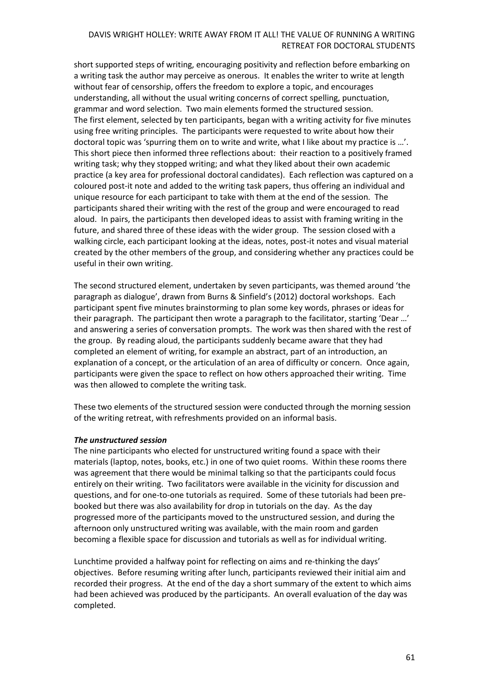short supported steps of writing, encouraging positivity and reflection before embarking on a writing task the author may perceive as onerous. It enables the writer to write at length without fear of censorship, offers the freedom to explore a topic, and encourages understanding, all without the usual writing concerns of correct spelling, punctuation, grammar and word selection. Two main elements formed the structured session. The first element, selected by ten participants, began with a writing activity for five minutes using free writing principles. The participants were requested to write about how their doctoral topic was 'spurring them on to write and write, what I like about my practice is …'. This short piece then informed three reflections about: their reaction to a positively framed writing task; why they stopped writing; and what they liked about their own academic practice (a key area for professional doctoral candidates). Each reflection was captured on a coloured post-it note and added to the writing task papers, thus offering an individual and unique resource for each participant to take with them at the end of the session. The participants shared their writing with the rest of the group and were encouraged to read aloud. In pairs, the participants then developed ideas to assist with framing writing in the future, and shared three of these ideas with the wider group. The session closed with a walking circle, each participant looking at the ideas, notes, post-it notes and visual material created by the other members of the group, and considering whether any practices could be useful in their own writing.

The second structured element, undertaken by seven participants, was themed around 'the paragraph as dialogue', drawn from Burns & Sinfield's (2012) doctoral workshops. Each participant spent five minutes brainstorming to plan some key words, phrases or ideas for their paragraph. The participant then wrote a paragraph to the facilitator, starting 'Dear …' and answering a series of conversation prompts. The work was then shared with the rest of the group. By reading aloud, the participants suddenly became aware that they had completed an element of writing, for example an abstract, part of an introduction, an explanation of a concept, or the articulation of an area of difficulty or concern. Once again, participants were given the space to reflect on how others approached their writing. Time was then allowed to complete the writing task.

These two elements of the structured session were conducted through the morning session of the writing retreat, with refreshments provided on an informal basis.

#### *The unstructured session*

The nine participants who elected for unstructured writing found a space with their materials (laptop, notes, books, etc.) in one of two quiet rooms. Within these rooms there was agreement that there would be minimal talking so that the participants could focus entirely on their writing. Two facilitators were available in the vicinity for discussion and questions, and for one-to-one tutorials as required. Some of these tutorials had been prebooked but there was also availability for drop in tutorials on the day. As the day progressed more of the participants moved to the unstructured session, and during the afternoon only unstructured writing was available, with the main room and garden becoming a flexible space for discussion and tutorials as well as for individual writing.

Lunchtime provided a halfway point for reflecting on aims and re-thinking the days' objectives. Before resuming writing after lunch, participants reviewed their initial aim and recorded their progress. At the end of the day a short summary of the extent to which aims had been achieved was produced by the participants. An overall evaluation of the day was completed.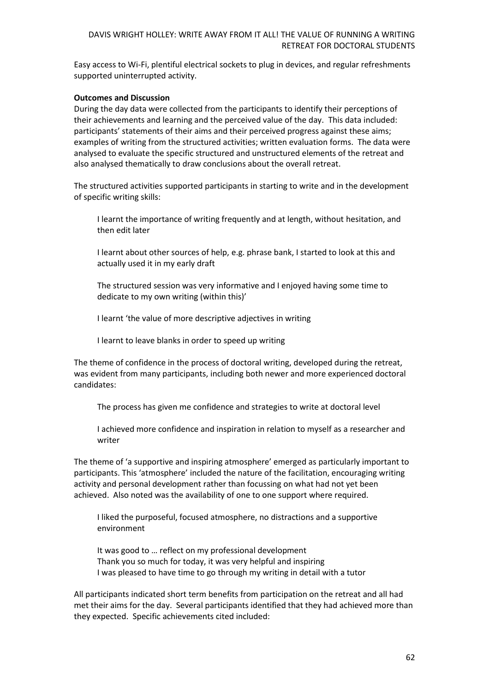Easy access to Wi-Fi, plentiful electrical sockets to plug in devices, and regular refreshments supported uninterrupted activity.

### **Outcomes and Discussion**

During the day data were collected from the participants to identify their perceptions of their achievements and learning and the perceived value of the day. This data included: participants' statements of their aims and their perceived progress against these aims; examples of writing from the structured activities; written evaluation forms. The data were analysed to evaluate the specific structured and unstructured elements of the retreat and also analysed thematically to draw conclusions about the overall retreat.

The structured activities supported participants in starting to write and in the development of specific writing skills:

I learnt the importance of writing frequently and at length, without hesitation, and then edit later

I learnt about other sources of help, e.g. phrase bank, I started to look at this and actually used it in my early draft

The structured session was very informative and I enjoyed having some time to dedicate to my own writing (within this)'

I learnt 'the value of more descriptive adjectives in writing

I learnt to leave blanks in order to speed up writing

The theme of confidence in the process of doctoral writing, developed during the retreat, was evident from many participants, including both newer and more experienced doctoral candidates:

The process has given me confidence and strategies to write at doctoral level

I achieved more confidence and inspiration in relation to myself as a researcher and writer

The theme of 'a supportive and inspiring atmosphere' emerged as particularly important to participants. This 'atmosphere' included the nature of the facilitation, encouraging writing activity and personal development rather than focussing on what had not yet been achieved. Also noted was the availability of one to one support where required.

I liked the purposeful, focused atmosphere, no distractions and a supportive environment

It was good to … reflect on my professional development Thank you so much for today, it was very helpful and inspiring I was pleased to have time to go through my writing in detail with a tutor

All participants indicated short term benefits from participation on the retreat and all had met their aims for the day. Several participants identified that they had achieved more than they expected. Specific achievements cited included: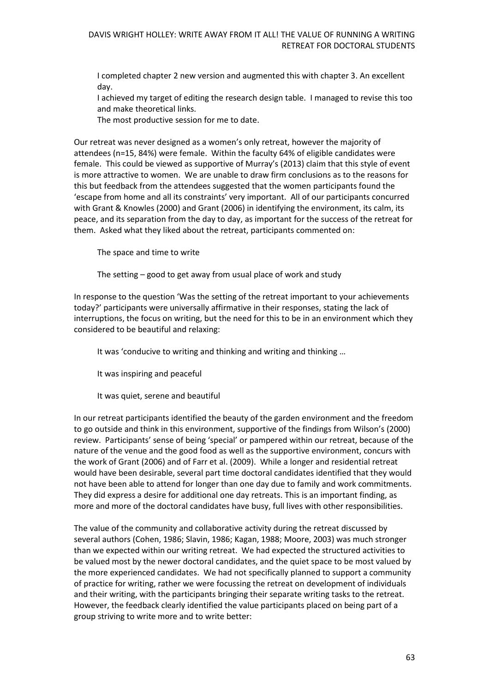I completed chapter 2 new version and augmented this with chapter 3. An excellent day.

I achieved my target of editing the research design table. I managed to revise this too and make theoretical links.

The most productive session for me to date.

Our retreat was never designed as a women's only retreat, however the majority of attendees (n=15, 84%) were female. Within the faculty 64% of eligible candidates were female. This could be viewed as supportive of Murray's (2013) claim that this style of event is more attractive to women. We are unable to draw firm conclusions as to the reasons for this but feedback from the attendees suggested that the women participants found the 'escape from home and all its constraints' very important. All of our participants concurred with Grant & Knowles (2000) and Grant (2006) in identifying the environment, its calm, its peace, and its separation from the day to day, as important for the success of the retreat for them. Asked what they liked about the retreat, participants commented on:

The space and time to write

The setting – good to get away from usual place of work and study

In response to the question 'Was the setting of the retreat important to your achievements today?' participants were universally affirmative in their responses, stating the lack of interruptions, the focus on writing, but the need for this to be in an environment which they considered to be beautiful and relaxing:

It was 'conducive to writing and thinking and writing and thinking …

It was inspiring and peaceful

It was quiet, serene and beautiful

In our retreat participants identified the beauty of the garden environment and the freedom to go outside and think in this environment, supportive of the findings from Wilson's (2000) review. Participants' sense of being 'special' or pampered within our retreat, because of the nature of the venue and the good food as well as the supportive environment, concurs with the work of Grant (2006) and of Farr et al. (2009). While a longer and residential retreat would have been desirable, several part time doctoral candidates identified that they would not have been able to attend for longer than one day due to family and work commitments. They did express a desire for additional one day retreats. This is an important finding, as more and more of the doctoral candidates have busy, full lives with other responsibilities.

The value of the community and collaborative activity during the retreat discussed by several authors (Cohen, 1986; Slavin, 1986; Kagan, 1988; Moore, 2003) was much stronger than we expected within our writing retreat. We had expected the structured activities to be valued most by the newer doctoral candidates, and the quiet space to be most valued by the more experienced candidates. We had not specifically planned to support a community of practice for writing, rather we were focussing the retreat on development of individuals and their writing, with the participants bringing their separate writing tasks to the retreat. However, the feedback clearly identified the value participants placed on being part of a group striving to write more and to write better: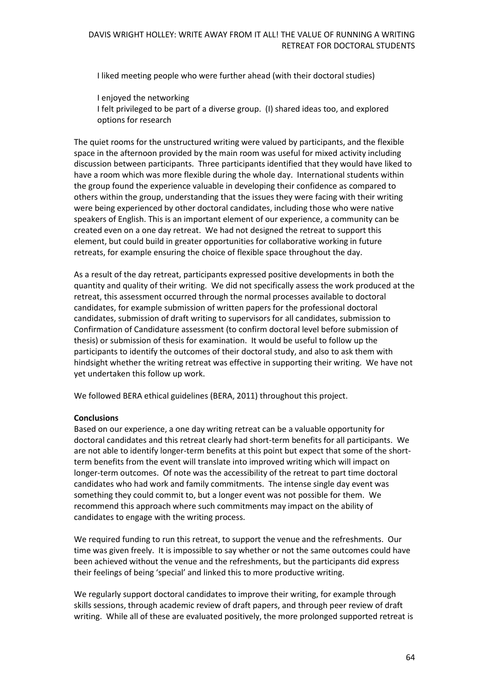I liked meeting people who were further ahead (with their doctoral studies)

I enjoyed the networking

I felt privileged to be part of a diverse group. (I) shared ideas too, and explored options for research

The quiet rooms for the unstructured writing were valued by participants, and the flexible space in the afternoon provided by the main room was useful for mixed activity including discussion between participants. Three participants identified that they would have liked to have a room which was more flexible during the whole day. International students within the group found the experience valuable in developing their confidence as compared to others within the group, understanding that the issues they were facing with their writing were being experienced by other doctoral candidates, including those who were native speakers of English. This is an important element of our experience, a community can be created even on a one day retreat. We had not designed the retreat to support this element, but could build in greater opportunities for collaborative working in future retreats, for example ensuring the choice of flexible space throughout the day.

As a result of the day retreat, participants expressed positive developments in both the quantity and quality of their writing. We did not specifically assess the work produced at the retreat, this assessment occurred through the normal processes available to doctoral candidates, for example submission of written papers for the professional doctoral candidates, submission of draft writing to supervisors for all candidates, submission to Confirmation of Candidature assessment (to confirm doctoral level before submission of thesis) or submission of thesis for examination. It would be useful to follow up the participants to identify the outcomes of their doctoral study, and also to ask them with hindsight whether the writing retreat was effective in supporting their writing. We have not yet undertaken this follow up work.

We followed BERA ethical guidelines (BERA, 2011) throughout this project.

## **Conclusions**

Based on our experience, a one day writing retreat can be a valuable opportunity for doctoral candidates and this retreat clearly had short-term benefits for all participants. We are not able to identify longer-term benefits at this point but expect that some of the shortterm benefits from the event will translate into improved writing which will impact on longer-term outcomes. Of note was the accessibility of the retreat to part time doctoral candidates who had work and family commitments. The intense single day event was something they could commit to, but a longer event was not possible for them. We recommend this approach where such commitments may impact on the ability of candidates to engage with the writing process.

We required funding to run this retreat, to support the venue and the refreshments. Our time was given freely. It is impossible to say whether or not the same outcomes could have been achieved without the venue and the refreshments, but the participants did express their feelings of being 'special' and linked this to more productive writing.

We regularly support doctoral candidates to improve their writing, for example through skills sessions, through academic review of draft papers, and through peer review of draft writing. While all of these are evaluated positively, the more prolonged supported retreat is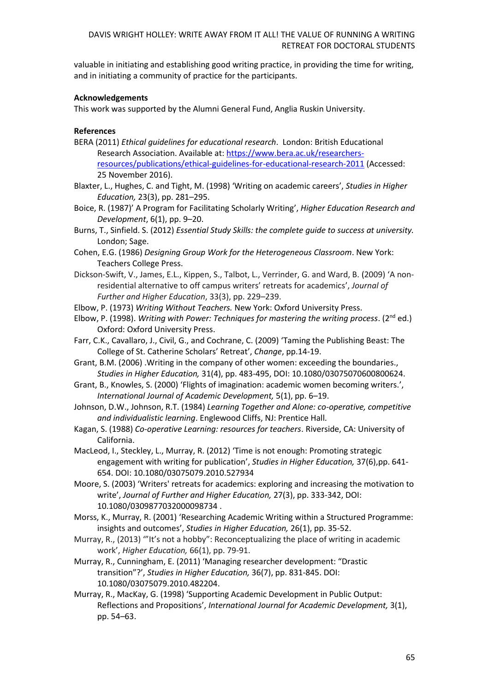valuable in initiating and establishing good writing practice, in providing the time for writing, and in initiating a community of practice for the participants.

## **Acknowledgements**

This work was supported by the Alumni General Fund, Anglia Ruskin University.

# **References**

- BERA (2011) *Ethical guidelines for educational research*. London: British Educational Research Association. Available at[: https://www.bera.ac.uk/researchers](https://www.bera.ac.uk/researchers-resources/publications/ethical-guidelines-for-educational-research-2011)[resources/publications/ethical-guidelines-for-educational-research-2011](https://www.bera.ac.uk/researchers-resources/publications/ethical-guidelines-for-educational-research-2011) (Accessed: 25 November 2016).
- Blaxter, L., Hughes, C. and Tight, M. (1998) 'Writing on academic careers', *Studies in Higher Education,* 23(3), pp. 281–295.
- Boice, R. (1987)' A Program for Facilitating Scholarly Writing', *Higher Education Research and Development*, 6(1), pp. 9–20.
- Burns, T., Sinfield. S. (2012) *Essential Study Skills: the complete guide to success at university.*  London; Sage.
- Cohen, E.G. (1986) *Designing Group Work for the Heterogeneous Classroom*. New York: Teachers College Press.
- Dickson-Swift, V., James, E.L., Kippen, S., Talbot, L., Verrinder, G. and Ward, B. (2009) 'A nonresidential alternative to off campus writers' retreats for academics', *Journal of Further and Higher Education*, 33(3), pp. 229–239.
- Elbow, P. (1973) *Writing Without Teachers.* New York: Oxford University Press.
- Elbow, P. (1998). *Writing with Power: Techniques for mastering the writing process*. (2<sup>nd</sup> ed.) Oxford: Oxford University Press.
- Farr, C.K., Cavallaro, J., Civil, G., and Cochrane, C. (2009) 'Taming the Publishing Beast: The College of St. Catherine Scholars' Retreat', *Change*, pp.14-19.
- Grant, B.M. (2006) .Writing in the company of other women: exceeding the boundaries., *Studies in Higher Education,* 31(4), pp. 483-495, DOI: 10.1080/03075070600800624.
- Grant, B., Knowles, S. (2000) 'Flights of imagination: academic women becoming writers.', *International Journal of Academic Development,* 5(1), pp. 6–19.
- Johnson, D.W., Johnson, R.T. (1984) *Learning Together and Alone: co-operative, competitive and individualistic learning*. Englewood Cliffs, NJ: Prentice Hall.
- Kagan, S. (1988) *Co-operative Learning: resources for teachers*. Riverside, CA: University of California.
- MacLeod, I., Steckley, L., Murray, R. (2012) 'Time is not enough: Promoting strategic engagement with writing for publication', *Studies in Higher Education,* 37(6),pp. 641- 654. DOI: 10.1080/03075079.2010.527934
- Moore, S. (2003) 'Writers' retreats for academics: exploring and increasing the motivation to write', *Journal of Further and Higher Education,* 27(3), pp. 333-342, DOI: 10.1080/0309877032000098734 .
- Morss, K., Murray, R. (2001) 'Researching Academic Writing within a Structured Programme: insights and outcomes', *Studies in Higher Education,* 26(1), pp. 35-52.
- Murray, R., (2013) '"It's not a hobby": Reconceptualizing the place of writing in academic work', *Higher Education,* 66(1), pp. 79-91.
- Murray, R., Cunningham, E. (2011) 'Managing researcher development: "Drastic transition"?', *Studies in Higher Education,* 36(7), pp. 831-845. DOI: 10.1080/03075079.2010.482204.
- Murray, R., MacKay, G. (1998) 'Supporting Academic Development in Public Output: Reflections and Propositions', *International Journal for Academic Development,* 3(1), pp. 54–63.